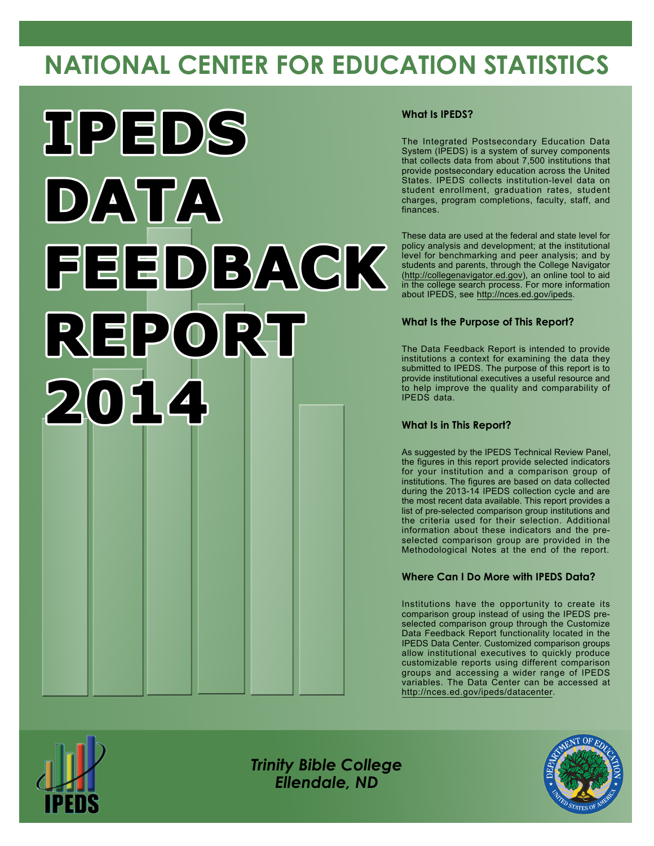# **NATIONAL CENTER FOR EDUCATION STATISTICS**



### **What Is IPEDS?**

The Integrated Postsecondary Education Data System (IPEDS) is a system of survey components that collects data from about 7,500 institutions that provide postsecondary education across the United States. IPEDS collects institution-level data on student enrollment, graduation rates, student charges, program completions, faculty, staff, and finances.

These data are used at the federal and state level for policy analysis and development; at the institutional level for benchmarking and peer analysis; and by students and parents, through the College Navigator [\(http://collegenavigator.ed.gov](http://collegenavigator.ed.gov)), an online tool to aid in the college search process. For more information about IPEDS, see <http://nces.ed.gov/ipeds>.

### **What Is the Purpose of This Report?**

The Data Feedback Report is intended to provide institutions a context for examining the data they submitted to IPEDS. The purpose of this report is to provide institutional executives a useful resource and to help improve the quality and comparability of IPEDS data.

### **What Is in This Report?**

As suggested by the IPEDS Technical Review Panel, the figures in this report provide selected indicators for your institution and a comparison group of institutions. The figures are based on data collected during the 2013-14 IPEDS collection cycle and are the most recent data available. This report provides a list of pre-selected comparison group institutions and the criteria used for their selection. Additional information about these indicators and the preselected comparison group are provided in the Methodological Notes at the end of the report.

## **Where Can I Do More with IPEDS Data?**

Institutions have the opportunity to create its comparison group instead of using the IPEDS preselected comparison group through the Customize Data Feedback Report functionality located in the IPEDS Data Center. Customized comparison groups allow institutional executives to quickly produce customizable reports using different comparison groups and accessing a wider range of IPEDS variables. The Data Center can be accessed at <http://nces.ed.gov/ipeds/datacenter>.



*Trinity Bible College Ellendale, ND*

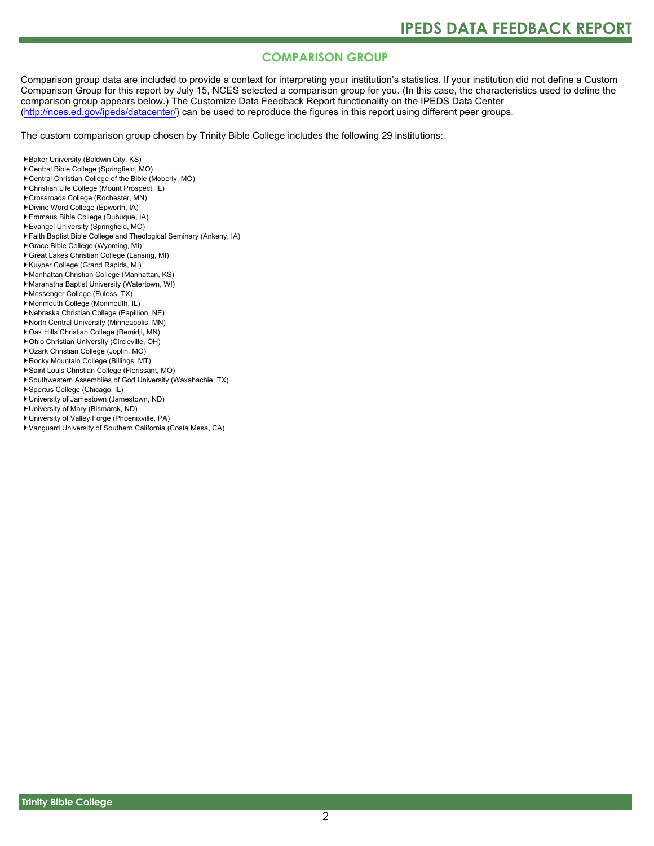# **COMPARISON GROUP**

Comparison group data are included to provide a context for interpreting your institution's statistics. If your institution did not define a Custom Comparison Group for this report by July 15, NCES selected a comparison group for you. (In this case, the characteristics used to define the comparison group appears below.) The Customize Data Feedback Report functionality on the IPEDS Data Center [\(http://nces.ed.gov/ipeds/datacenter/\)](http://nces.ed.gov/ipeds/datacenter/) can be used to reproduce the figures in this report using different peer groups.

The custom comparison group chosen by Trinity Bible College includes the following 29 institutions:

- Baker University (Baldwin City, KS)
- Central Bible College (Springfield, MO)
- Central Christian College of the Bible (Moberly, MO)
- Christian Life College (Mount Prospect, IL)
- Crossroads College (Rochester, MN)
- Divine Word College (Epworth, IA)
- Emmaus Bible College (Dubuque, IA)
- Evangel University (Springfield, MO)
- Faith Baptist Bible College and Theological Seminary (Ankeny, IA)
- Grace Bible College (Wyoming, MI)
- Great Lakes Christian College (Lansing, MI)
- Kuyper College (Grand Rapids, MI)
- Manhattan Christian College (Manhattan, KS)
- Maranatha Baptist University (Watertown, WI)
- Messenger College (Euless, TX)
- Monmouth College (Monmouth, IL)
- Nebraska Christian College (Papillion, NE)
- North Central University (Minneapolis, MN)
- Oak Hills Christian College (Bemidji, MN)
- Ohio Christian University (Circleville, OH)
- Ozark Christian College (Joplin, MO)
- Rocky Mountain College (Billings, MT)
- Saint Louis Christian College (Florissant, MO)
- Southwestern Assemblies of God University (Waxahachie, TX)
- Spertus College (Chicago, IL)
- University of Jamestown (Jamestown, ND)
- University of Mary (Bismarck, ND)
- University of Valley Forge (Phoenixville, PA)
- Vanguard University of Southern California (Costa Mesa, CA)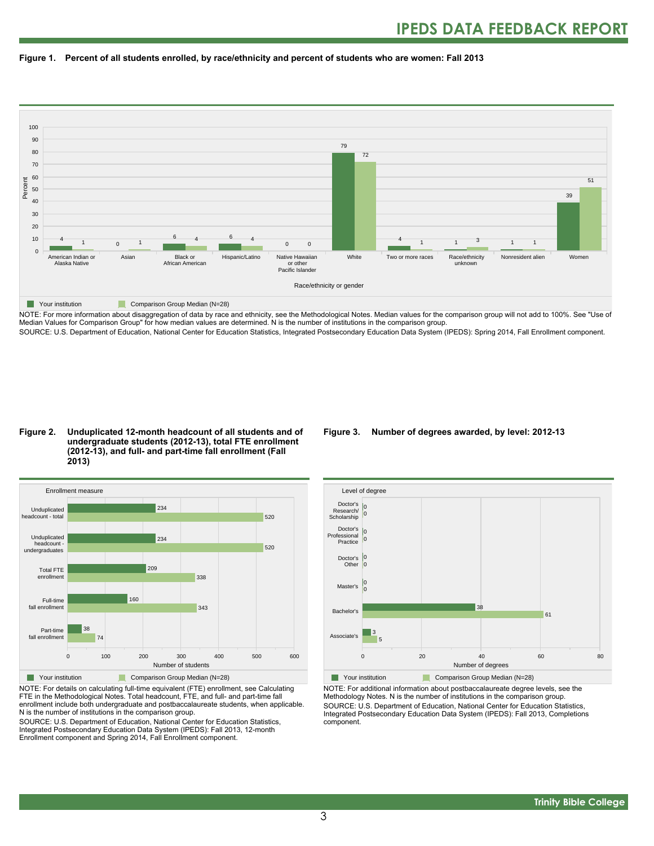



NOTE: For more information about disaggregation of data by race and ethnicity, see the Methodological Notes. Median values for the comparison group will not add to 100%. See "Use of Median Values for Comparison Group" for how median values are determined. N is the number of institutions in the comparison group.

SOURCE: U.S. Department of Education, National Center for Education Statistics, Integrated Postsecondary Education Data System (IPEDS): Spring 2014, Fall Enrollment component.

#### **Figure 2. Unduplicated 12-month headcount of all students and of undergraduate students (2012-13), total FTE enrollment (2012-13), and full- and part-time fall enrollment (Fall 2013)**



NOTE: For details on calculating full-time equivalent (FTE) enrollment, see Calculating FTE in the Methodological Notes. Total headcount, FTE, and full- and part-time fall enrollment include both undergraduate and postbaccalaureate students, when applicable. N is the number of institutions in the comparison group.

SOURCE: U.S. Department of Education, National Center for Education Statistics, Integrated Postsecondary Education Data System (IPEDS): Fall 2013, 12-month Enrollment component and Spring 2014, Fall Enrollment component.

#### **Figure 3. Number of degrees awarded, by level: 2012-13**



NOTE: For additional information about postbaccalaureate degree levels, see the Methodology Notes. N is the number of institutions in the comparison group. SOURCE: U.S. Department of Education, National Center for Education Statistics, Integrated Postsecondary Education Data System (IPEDS): Fall 2013, Completions component.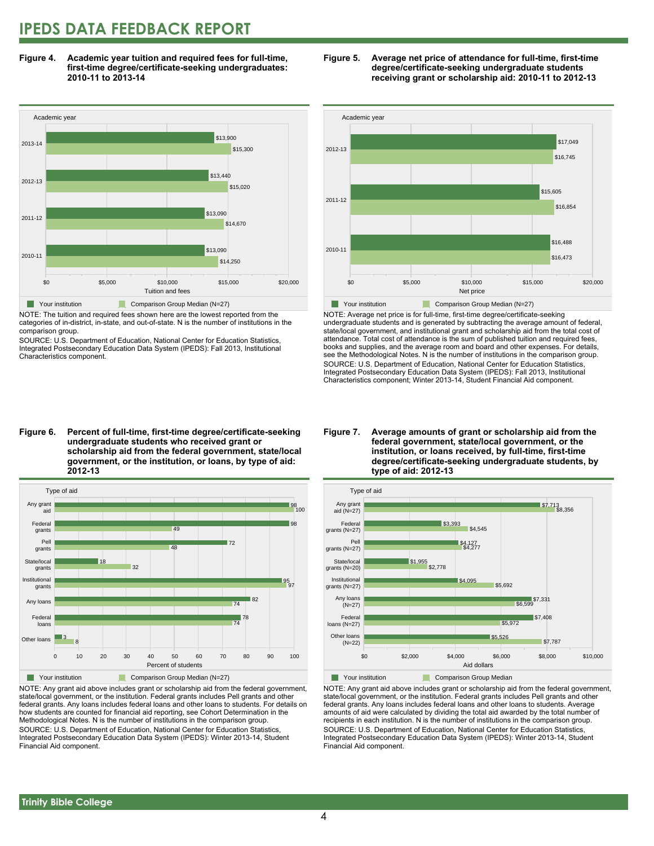# **IPEDS DATA FEEDBACK REPORT**

**Figure 4. Academic year tuition and required fees for full-time, first-time degree/certificate-seeking undergraduates: 2010-11 to 2013-14**



NOTE: The tuition and required fees shown here are the lowest reported from the categories of in-district, in-state, and out-of-state. N is the number of institutions in the comparison group.

SOURCE: U.S. Department of Education, National Center for Education Statistics, Integrated Postsecondary Education Data System (IPEDS): Fall 2013, Institutional Characteristics component.





NOTE: Average net price is for full-time, first-time degree/certificate-seeking undergraduate students and is generated by subtracting the average amount of federal, state/local government, and institutional grant and scholarship aid from the total cost of attendance. Total cost of attendance is the sum of published tuition and required fees, books and supplies, and the average room and board and other expenses. For details, see the Methodological Notes. N is the number of institutions in the comparison group. SOURCE: U.S. Department of Education, National Center for Education Statistics, Integrated Postsecondary Education Data System (IPEDS): Fall 2013, Institutional Characteristics component; Winter 2013-14, Student Financial Aid component.

**Figure 6. Percent of full-time, first-time degree/certificate-seeking undergraduate students who received grant or scholarship aid from the federal government, state/local government, or the institution, or loans, by type of aid: 2012-13**



NOTE: Any grant aid above includes grant or scholarship aid from the federal government, state/local government, or the institution. Federal grants includes Pell grants and other federal grants. Any loans includes federal loans and other loans to students. For details on how students are counted for financial aid reporting, see Cohort Determination in the Methodological Notes. N is the number of institutions in the comparison group. SOURCE: U.S. Department of Education, National Center for Education Statistics, Integrated Postsecondary Education Data System (IPEDS): Winter 2013-14, Student Financial Aid component.

#### **Figure 7. Average amounts of grant or scholarship aid from the federal government, state/local government, or the institution, or loans received, by full-time, first-time degree/certificate-seeking undergraduate students, by type of aid: 2012-13**



NOTE: Any grant aid above includes grant or scholarship aid from the federal government, state/local government, or the institution. Federal grants includes Pell grants and other federal grants. Any loans includes federal loans and other loans to students. Average amounts of aid were calculated by dividing the total aid awarded by the total number of recipients in each institution. N is the number of institutions in the comparison group. SOURCE: U.S. Department of Education, National Center for Education Statistics, Integrated Postsecondary Education Data System (IPEDS): Winter 2013-14, Student Financial Aid component.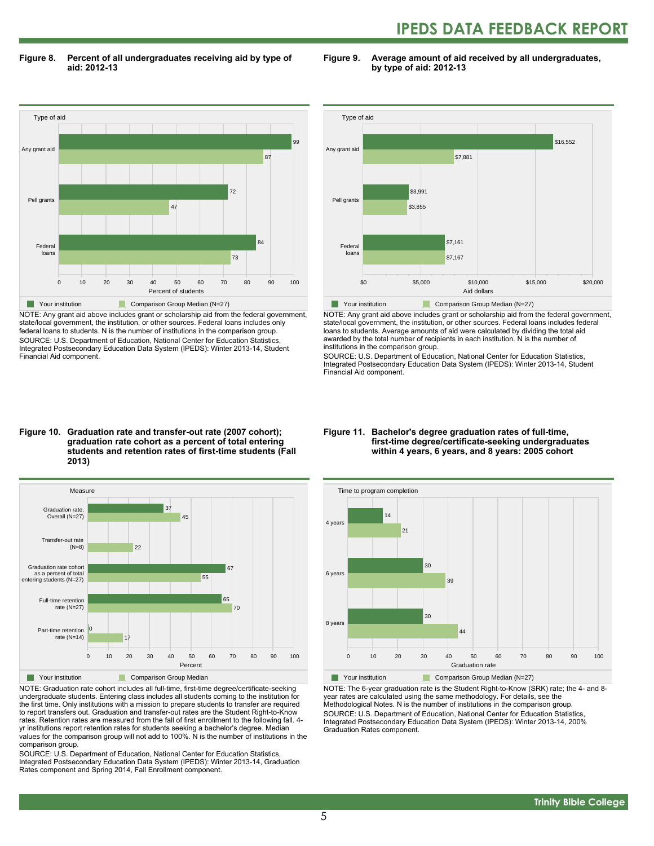# **IPEDS DATA FEEDBACK REPORT**

**Figure 8. Percent of all undergraduates receiving aid by type of aid: 2012-13**

**Figure 9. Average amount of aid received by all undergraduates, by type of aid: 2012-13**



NOTE: Any grant aid above includes grant or scholarship aid from the federal government, state/local government, the institution, or other sources. Federal loans includes only federal loans to students. N is the number of institutions in the comparison group. SOURCE: U.S. Department of Education, National Center for Education Statistics, Integrated Postsecondary Education Data System (IPEDS): Winter 2013-14, Student Financial Aid component.



NOTE: Any grant aid above includes grant or scholarship aid from the federal government, state/local government, the institution, or other sources. Federal loans includes federal loans to students. Average amounts of aid were calculated by dividing the total aid awarded by the total number of recipients in each institution. N is the number of institutions in the comparison group.

SOURCE: U.S. Department of Education, National Center for Education Statistics, Integrated Postsecondary Education Data System (IPEDS): Winter 2013-14, Student Financial Aid component.

#### **Figure 10. Graduation rate and transfer-out rate (2007 cohort); graduation rate cohort as a percent of total entering students and retention rates of first-time students (Fall 2013)**



NOTE: Graduation rate cohort includes all full-time, first-time degree/certificate-seeking undergraduate students. Entering class includes all students coming to the institution for the first time. Only institutions with a mission to prepare students to transfer are required to report transfers out. Graduation and transfer-out rates are the Student Right-to-Know rates. Retention rates are measured from the fall of first enrollment to the following fall. 4 yr institutions report retention rates for students seeking a bachelor's degree. Median values for the comparison group will not add to 100%. N is the number of institutions in the comparison group.

SOURCE: U.S. Department of Education, National Center for Education Statistics, Integrated Postsecondary Education Data System (IPEDS): Winter 2013-14, Graduation Rates component and Spring 2014, Fall Enrollment component.

#### **Figure 11. Bachelor's degree graduation rates of full-time, first-time degree/certificate-seeking undergraduates within 4 years, 6 years, and 8 years: 2005 cohort**



NOTE: The 6-year graduation rate is the Student Right-to-Know (SRK) rate; the 4- and 8 year rates are calculated using the same methodology. For details, see the Methodological Notes. N is the number of institutions in the comparison group. SOURCE: U.S. Department of Education, National Center for Education Statistics, Integrated Postsecondary Education Data System (IPEDS): Winter 2013-14, 200% Graduation Rates component.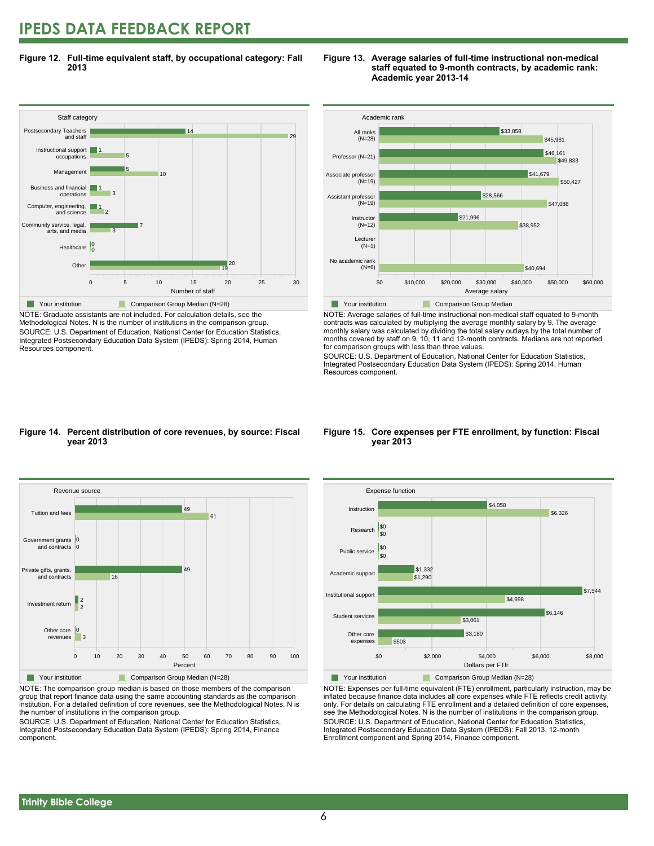# **IPEDS DATA FEEDBACK REPORT**

**Figure 12. Full-time equivalent staff, by occupational category: Fall 2013**



NOTE: Graduate assistants are not included. For calculation details, see the Methodological Notes. N is the number of institutions in the comparison group. SOURCE: U.S. Department of Education, National Center for Education Statistics, Integrated Postsecondary Education Data System (IPEDS): Spring 2014, Human Resources component.





NOTE: Average salaries of full-time instructional non-medical staff equated to 9-month contracts was calculated by multiplying the average monthly salary by 9. The average monthly salary was calculated by dividing the total salary outlays by the total number of months covered by staff on 9, 10, 11 and 12-month contracts. Medians are not reported for comparison groups with less than three values.

SOURCE: U.S. Department of Education, National Center for Education Statistics, Integrated Postsecondary Education Data System (IPEDS): Spring 2014, Human Resources component.

#### **Figure 14. Percent distribution of core revenues, by source: Fiscal year 2013**



NOTE: The comparison group median is based on those members of the comparison group that report finance data using the same accounting standards as the comparison institution. For a detailed definition of core revenues, see the Methodological Notes. N is the number of institutions in the comparison group.

SOURCE: U.S. Department of Education, National Center for Education Statistics, Integrated Postsecondary Education Data System (IPEDS): Spring 2014, Finance component.

#### **Figure 15. Core expenses per FTE enrollment, by function: Fiscal year 2013**



NOTE: Expenses per full-time equivalent (FTE) enrollment, particularly instruction, may be inflated because finance data includes all core expenses while FTE reflects credit activity only. For details on calculating FTE enrollment and a detailed definition of core expenses, see the Methodological Notes. N is the number of institutions in the comparison group. SOURCE: U.S. Department of Education, National Center for Education Statistics, Integrated Postsecondary Education Data System (IPEDS): Fall 2013, 12-month Enrollment component and Spring 2014, Finance component.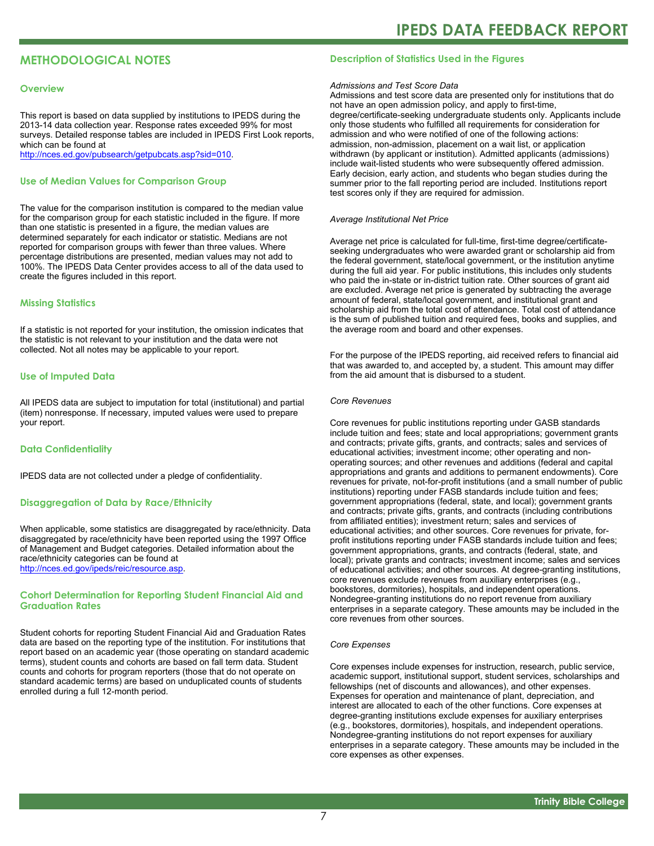# **METHODOLOGICAL NOTES**

#### **Overview**

This report is based on data supplied by institutions to IPEDS during the 2013-14 data collection year. Response rates exceeded 99% for most surveys. Detailed response tables are included in IPEDS First Look reports, which can be found at [http://nces.ed.gov/pubsearch/getpubcats.asp?sid=010.](http://nces.ed.gov/pubsearch/getpubcats.asp?sid=010)

#### **Use of Median Values for Comparison Group**

The value for the comparison institution is compared to the median value for the comparison group for each statistic included in the figure. If more than one statistic is presented in a figure, the median values are determined separately for each indicator or statistic. Medians are not reported for comparison groups with fewer than three values. Where percentage distributions are presented, median values may not add to 100%. The IPEDS Data Center provides access to all of the data used to create the figures included in this report.

#### **Missing Statistics**

If a statistic is not reported for your institution, the omission indicates that the statistic is not relevant to your institution and the data were not collected. Not all notes may be applicable to your report.

#### **Use of Imputed Data**

All IPEDS data are subject to imputation for total (institutional) and partial (item) nonresponse. If necessary, imputed values were used to prepare your report.

#### **Data Confidentiality**

IPEDS data are not collected under a pledge of confidentiality.

#### **Disaggregation of Data by Race/Ethnicity**

When applicable, some statistics are disaggregated by race/ethnicity. Data disaggregated by race/ethnicity have been reported using the 1997 Office of Management and Budget categories. Detailed information about the race/ethnicity categories can be found at <http://nces.ed.gov/ipeds/reic/resource.asp>.

#### **Cohort Determination for Reporting Student Financial Aid and Graduation Rates**

Student cohorts for reporting Student Financial Aid and Graduation Rates data are based on the reporting type of the institution. For institutions that report based on an academic year (those operating on standard academic terms), student counts and cohorts are based on fall term data. Student counts and cohorts for program reporters (those that do not operate on standard academic terms) are based on unduplicated counts of students enrolled during a full 12-month period.

#### **Description of Statistics Used in the Figures**

#### *Admissions and Test Score Data*

Admissions and test score data are presented only for institutions that do not have an open admission policy, and apply to first-time, degree/certificate-seeking undergraduate students only. Applicants include only those students who fulfilled all requirements for consideration for admission and who were notified of one of the following actions: admission, non-admission, placement on a wait list, or application withdrawn (by applicant or institution). Admitted applicants (admissions) include wait-listed students who were subsequently offered admission. Early decision, early action, and students who began studies during the summer prior to the fall reporting period are included. Institutions report test scores only if they are required for admission.

#### *Average Institutional Net Price*

Average net price is calculated for full-time, first-time degree/certificateseeking undergraduates who were awarded grant or scholarship aid from the federal government, state/local government, or the institution anytime during the full aid year. For public institutions, this includes only students who paid the in-state or in-district tuition rate. Other sources of grant aid are excluded. Average net price is generated by subtracting the average amount of federal, state/local government, and institutional grant and scholarship aid from the total cost of attendance. Total cost of attendance is the sum of published tuition and required fees, books and supplies, and the average room and board and other expenses.

For the purpose of the IPEDS reporting, aid received refers to financial aid that was awarded to, and accepted by, a student. This amount may differ from the aid amount that is disbursed to a student.

#### *Core Revenues*

Core revenues for public institutions reporting under GASB standards include tuition and fees; state and local appropriations; government grants and contracts; private gifts, grants, and contracts; sales and services of educational activities; investment income; other operating and nonoperating sources; and other revenues and additions (federal and capital appropriations and grants and additions to permanent endowments). Core revenues for private, not-for-profit institutions (and a small number of public institutions) reporting under FASB standards include tuition and fees; government appropriations (federal, state, and local); government grants and contracts; private gifts, grants, and contracts (including contributions from affiliated entities); investment return; sales and services of educational activities; and other sources. Core revenues for private, forprofit institutions reporting under FASB standards include tuition and fees; government appropriations, grants, and contracts (federal, state, and local); private grants and contracts; investment income; sales and services of educational activities; and other sources. At degree-granting institutions, core revenues exclude revenues from auxiliary enterprises (e.g., bookstores, dormitories), hospitals, and independent operations. Nondegree-granting institutions do no report revenue from auxiliary enterprises in a separate category. These amounts may be included in the core revenues from other sources.

#### *Core Expenses*

Core expenses include expenses for instruction, research, public service, academic support, institutional support, student services, scholarships and fellowships (net of discounts and allowances), and other expenses. Expenses for operation and maintenance of plant, depreciation, and interest are allocated to each of the other functions. Core expenses at degree-granting institutions exclude expenses for auxiliary enterprises (e.g., bookstores, dormitories), hospitals, and independent operations. Nondegree-granting institutions do not report expenses for auxiliary enterprises in a separate category. These amounts may be included in the core expenses as other expenses.